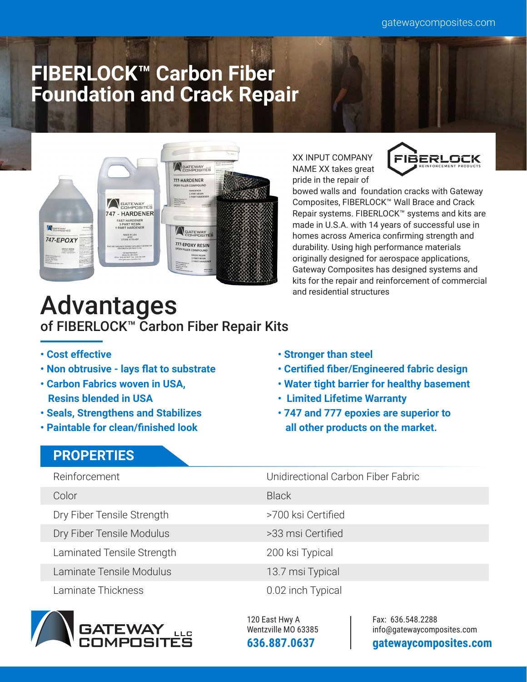# **FIBERLOCK™ Carbon Fiber Foundation and Crack Repair**



XX INPUT COMPANY NAME XX takes great pride in the repair of



bowed walls and foundation cracks with Gateway Composites, FIBERLOCK™ Wall Brace and Crack Repair systems. FIBERLOCK™ systems and kits are made in U.S.A. with 14 years of successful use in homes across America confirming strength and durability. Using high performance materials originally designed for aerospace applications, Gateway Composites has designed systems and kits for the repair and reinforcement of commercial and residential structures

## Advantages of FIBERLOCK™ Carbon Fiber Repair Kits

- **Cost effective**
- **Non obtrusive lays flat to substrate**
- **Carbon Fabrics woven in USA, Resins blended in USA**
- **Seals, Strengthens and Stabilizes**
- **Paintable for clean/finished look**

### **PROPERTIES**

- **Stronger than steel • Certified fiber/Engineered fabric design**
- **Water tight barrier for healthy basement**
- **Limited Lifetime Warranty**
- **747 and 777 epoxies are superior to all other products on the market.**

Reinforcement

- Color
- Dry Fiber Tensile Strength
- Dry Fiber Tensile Modulus
- Laminated Tensile Strength

Laminate Tensile Modulus

Laminate Thickness



Unidirectional Carbon Fiber Fabric

**Black** 

- >700 ksi Certified
- >33 msi Certified

200 ksi Typical

- 13.7 msi Typical
- 0.02 inch Typical

120 East Hwy A Wentzville MO 63385 **636.887.0637** 

Fax: 636.548.2288 info@gatewaycomposites.com **gatewaycomposites.com**